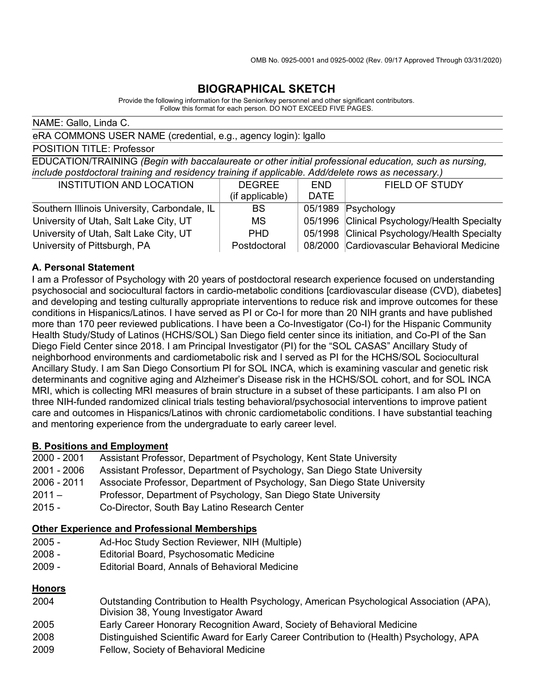### **BIOGRAPHICAL SKETCH**

Provide the following information for the Senior/key personnel and other significant contributors. Follow this format for each person. DO NOT EXCEED FIVE PAGES.

NAME: Gallo, Linda C.

eRA COMMONS USER NAME (credential, e.g., agency login): lgallo

POSITION TITLE: Professor

EDUCATION/TRAINING *(Begin with baccalaureate or other initial professional education, such as nursing, include postdoctoral training and residency training if applicable. Add/delete rows as necessary.)*

| <b>INSTITUTION AND LOCATION</b>              | <b>DEGREE</b>   | <b>END</b>  | <b>FIELD OF STUDY</b>                        |
|----------------------------------------------|-----------------|-------------|----------------------------------------------|
|                                              | (if applicable) | <b>DATE</b> |                                              |
| Southern Illinois University, Carbondale, IL | BS.             |             | 05/1989 Psychology                           |
| University of Utah, Salt Lake City, UT       | MS.             |             | 05/1996 Clinical Psychology/Health Specialty |
| University of Utah, Salt Lake City, UT       | PHD.            |             | 05/1998 Clinical Psychology/Health Specialty |
| University of Pittsburgh, PA                 | Postdoctoral    |             | 08/2000 Cardiovascular Behavioral Medicine   |

### **A. Personal Statement**

I am a Professor of Psychology with 20 years of postdoctoral research experience focused on understanding psychosocial and sociocultural factors in cardio-metabolic conditions [cardiovascular disease (CVD), diabetes] and developing and testing culturally appropriate interventions to reduce risk and improve outcomes for these conditions in Hispanics/Latinos. I have served as PI or Co-I for more than 20 NIH grants and have published more than 170 peer reviewed publications. I have been a Co-Investigator (Co-I) for the Hispanic Community Health Study/Study of Latinos (HCHS/SOL) San Diego field center since its initiation, and Co-PI of the San Diego Field Center since 2018. I am Principal Investigator (PI) for the "SOL CASAS" Ancillary Study of neighborhood environments and cardiometabolic risk and I served as PI for the HCHS/SOL Sociocultural Ancillary Study. I am San Diego Consortium PI for SOL INCA, which is examining vascular and genetic risk determinants and cognitive aging and Alzheimer's Disease risk in the HCHS/SOL cohort, and for SOL INCA MRI, which is collecting MRI measures of brain structure in a subset of these participants. I am also PI on three NIH-funded randomized clinical trials testing behavioral/psychosocial interventions to improve patient care and outcomes in Hispanics/Latinos with chronic cardiometabolic conditions. I have substantial teaching and mentoring experience from the undergraduate to early career level.

#### **B. Positions and Employment**

- 2000 2001 Assistant Professor, Department of Psychology, Kent State University
- 2001 2006 Assistant Professor, Department of Psychology, San Diego State University
- 2006 2011 Associate Professor, Department of Psychology, San Diego State University
- 2011 Professor, Department of Psychology, San Diego State University
- 2015 Co-Director, South Bay Latino Research Center

#### **Other Experience and Professional Memberships**

- 2005 Ad-Hoc Study Section Reviewer, NIH (Multiple)
- 2008 Editorial Board, Psychosomatic Medicine
- 2009 Editorial Board, Annals of Behavioral Medicine

### **Honors**

- 2004 Outstanding Contribution to Health Psychology, American Psychological Association (APA), Division 38, Young Investigator Award
- 2005 Early Career Honorary Recognition Award, Society of Behavioral Medicine
- 2008 Distinguished Scientific Award for Early Career Contribution to (Health) Psychology, APA
- 2009 Fellow, Society of Behavioral Medicine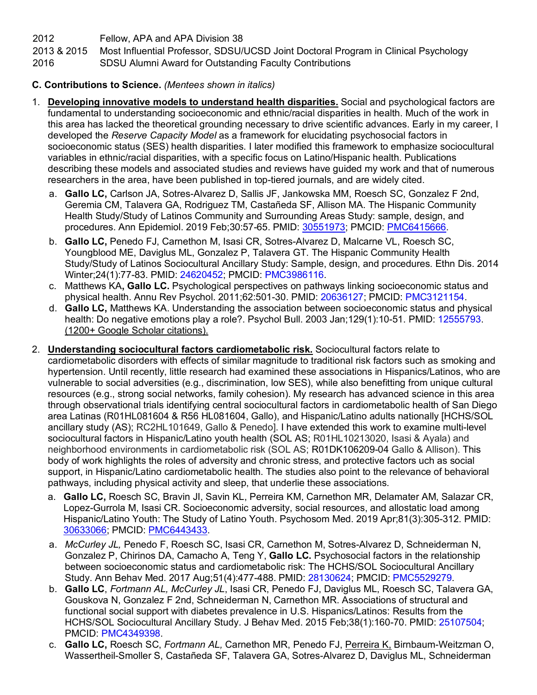2012 Fellow, APA and APA Division 38

2013 & 2015 Most Influential Professor, SDSU/UCSD Joint Doctoral Program in Clinical Psychology

2016 SDSU Alumni Award for Outstanding Faculty Contributions

### **C. Contributions to Science.** *(Mentees shown in italics)*

- 1. **Developing innovative models to understand health disparities.** Social and psychological factors are fundamental to understanding socioeconomic and ethnic/racial disparities in health. Much of the work in this area has lacked the theoretical grounding necessary to drive scientific advances. Early in my career, I developed the *Reserve Capacity Model* as a framework for elucidating psychosocial factors in socioeconomic status (SES) health disparities. I later modified this framework to emphasize sociocultural variables in ethnic/racial disparities, with a specific focus on Latino/Hispanic health. Publications describing these models and associated studies and reviews have guided my work and that of numerous researchers in the area, have been published in top-tiered journals, and are widely cited.
	- a. **Gallo LC,** Carlson JA, Sotres-Alvarez D, Sallis JF, Jankowska MM, Roesch SC, Gonzalez F 2nd, Geremia CM, Talavera GA, Rodriguez TM, Castañeda SF, Allison MA. The Hispanic Community Health Study/Study of Latinos Community and Surrounding Areas Study: sample, design, and procedures. Ann Epidemiol. 2019 Feb;30:57-65. PMID: 30551973; PMCID: PMC6415666.
	- b. **Gallo LC,** Penedo FJ, Carnethon M, Isasi CR, Sotres-Alvarez D, Malcarne VL, Roesch SC, Youngblood ME, Daviglus ML, Gonzalez P, Talavera GT. The Hispanic Community Health Study/Study of Latinos Sociocultural Ancillary Study: Sample, design, and procedures. Ethn Dis. 2014 Winter;24(1):77-83. PMID: 24620452; PMCID: PMC3986116.
	- c. Matthews KA**, Gallo LC.** Psychological perspectives on pathways linking socioeconomic status and physical health. Annu Rev Psychol. 2011;62:501-30. PMID: 20636127; PMCID: PMC3121154.
	- d. **Gallo LC,** Matthews KA. Understanding the association between socioeconomic status and physical health: Do negative emotions play a role?. Psychol Bull. 2003 Jan: 129(1): 10-51. PMID: 12555793. (1200+ Google Scholar citations).
- 2. **Understanding sociocultural factors cardiometabolic risk.** Sociocultural factors relate to cardiometabolic disorders with effects of similar magnitude to traditional risk factors such as smoking and hypertension. Until recently, little research had examined these associations in Hispanics/Latinos, who are vulnerable to social adversities (e.g., discrimination, low SES), while also benefitting from unique cultural resources (e.g., strong social networks, family cohesion). My research has advanced science in this area through observational trials identifying central sociocultural factors in cardiometabolic health of San Diego area Latinas (R01HL081604 & R56 HL081604, Gallo), and Hispanic/Latino adults nationally [HCHS/SOL ancillary study (AS); RC2HL101649, Gallo & Penedo]. I have extended this work to examine multi-level sociocultural factors in Hispanic/Latino youth health (SOL AS; R01HL10213020, Isasi & Ayala) and neighborhood environments in cardiometabolic risk (SOL AS; R01DK106209-04 Gallo & Allison). This body of work highlights the roles of adversity and chronic stress, and protective factors uch as social support, in Hispanic/Latino cardiometabolic health. The studies also point to the relevance of behavioral pathways, including physical activity and sleep, that underlie these associations.
	- a. **Gallo LC,** Roesch SC, Bravin JI, Savin KL, Perreira KM, Carnethon MR, Delamater AM, Salazar CR, Lopez-Gurrola M, Isasi CR. Socioeconomic adversity, social resources, and allostatic load among Hispanic/Latino Youth: The Study of Latino Youth. Psychosom Med. 2019 Apr;81(3):305-312. PMID: 30633066; PMCID: PMC6443433.
	- a. *McCurley JL,* Penedo F, Roesch SC, Isasi CR, Carnethon M, Sotres-Alvarez D, Schneiderman N, Gonzalez P, Chirinos DA, Camacho A, Teng Y, **Gallo LC.** Psychosocial factors in the relationship between socioeconomic status and cardiometabolic risk: The HCHS/SOL Sociocultural Ancillary Study. Ann Behav Med. 2017 Aug;51(4):477-488. PMID: 28130624; PMCID: PMC5529279.
	- b. **Gallo LC**, *Fortmann AL, McCurley JL*, Isasi CR, Penedo FJ, Daviglus ML, Roesch SC, Talavera GA, Gouskova N, Gonzalez F 2nd, Schneiderman N, Carnethon MR. Associations of structural and functional social support with diabetes prevalence in U.S. Hispanics/Latinos: Results from the HCHS/SOL Sociocultural Ancillary Study. J Behav Med. 2015 Feb;38(1):160-70. PMID: 25107504; PMCID: PMC4349398.
	- c. **Gallo LC,** Roesch SC, *Fortmann AL,* Carnethon MR, Penedo FJ, Perreira K, Birnbaum-Weitzman O, Wassertheil-Smoller S, Castañeda SF, Talavera GA, Sotres-Alvarez D, Daviglus ML, Schneiderman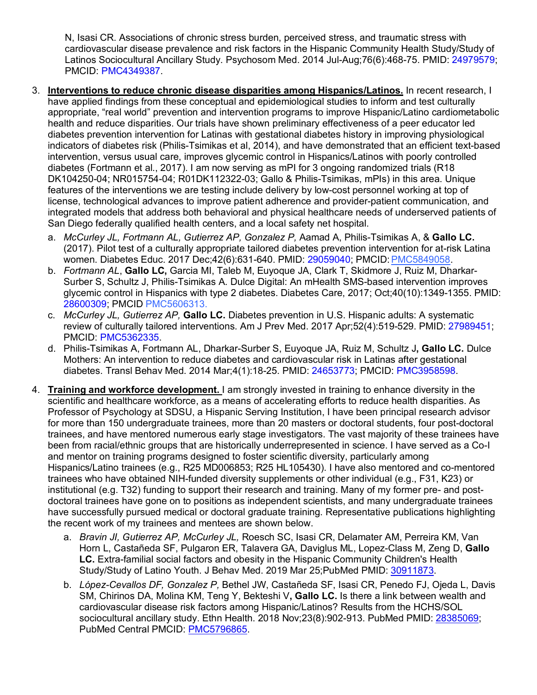N, Isasi CR. Associations of chronic stress burden, perceived stress, and traumatic stress with cardiovascular disease prevalence and risk factors in the Hispanic Community Health Study/Study of Latinos Sociocultural Ancillary Study. Psychosom Med. 2014 Jul-Aug;76(6):468-75. PMID: 24979579; PMCID: PMC4349387.

- 3. **Interventions to reduce chronic disease disparities among Hispanics/Latinos.** In recent research, I have applied findings from these conceptual and epidemiological studies to inform and test culturally appropriate, "real world" prevention and intervention programs to improve Hispanic/Latino cardiometabolic health and reduce disparities. Our trials have shown preliminary effectiveness of a peer educator led diabetes prevention intervention for Latinas with gestational diabetes history in improving physiological indicators of diabetes risk (Philis-Tsimikas et al, 2014), and have demonstrated that an efficient text-based intervention, versus usual care, improves glycemic control in Hispanics/Latinos with poorly controlled diabetes (Fortmann et al., 2017). I am now serving as mPI for 3 ongoing randomized trials (R18 DK104250-04; NR015754-04; R01DK112322-03; Gallo & Philis-Tsimikas, mPIs) in this area. Unique features of the interventions we are testing include delivery by low-cost personnel working at top of license, technological advances to improve patient adherence and provider-patient communication, and integrated models that address both behavioral and physical healthcare needs of underserved patients of San Diego federally qualified health centers, and a local safety net hospital.
	- a. *McCurley JL, Fortmann AL, Gutierrez AP, Gonzalez P,* Aamad A, Philis-Tsimikas A, & **Gallo LC.** (2017). Pilot test of a culturally appropriate tailored diabetes prevention intervention for at-risk Latina women. Diabetes Educ. 2017 Dec;42(6):631-640. PMID: 29059040; PMCID:PMC5849058.
	- b. *Fortmann AL*, **Gallo LC,** Garcia MI, Taleb M, Euyoque JA, Clark T, Skidmore J, Ruiz M, Dharkar-Surber S, Schultz J, Philis-Tsimikas A. Dulce Digital: An mHealth SMS-based intervention improves glycemic control in Hispanics with type 2 diabetes. Diabetes Care, 2017; Oct;40(10):1349-1355. PMID: 28600309; PMCID PMC5606313.
	- c. *McCurley JL, Gutierrez AP,* **Gallo LC.** Diabetes prevention in U.S. Hispanic adults: A systematic review of culturally tailored interventions. Am J Prev Med. 2017 Apr;52(4):519-529. PMID: 27989451; PMCID: PMC5362335.
	- d. Philis-Tsimikas A, Fortmann AL, Dharkar-Surber S, Euyoque JA, Ruiz M, Schultz J**, Gallo LC.** Dulce Mothers: An intervention to reduce diabetes and cardiovascular risk in Latinas after gestational diabetes. Transl Behav Med. 2014 Mar;4(1):18-25. PMID: 24653773; PMCID: PMC3958598.
- 4. **Training and workforce development.** I am strongly invested in training to enhance diversity in the scientific and healthcare workforce, as a means of accelerating efforts to reduce health disparities. As Professor of Psychology at SDSU, a Hispanic Serving Institution, I have been principal research advisor for more than 150 undergraduate trainees, more than 20 masters or doctoral students, four post-doctoral trainees, and have mentored numerous early stage investigators. The vast majority of these trainees have been from racial/ethnic groups that are historically underrepresented in science. I have served as a Co-I and mentor on training programs designed to foster scientific diversity, particularly among Hispanics/Latino trainees (e.g., R25 MD006853; R25 HL105430). I have also mentored and co-mentored trainees who have obtained NIH-funded diversity supplements or other individual (e.g., F31, K23) or institutional (e.g. T32) funding to support their research and training. Many of my former pre- and postdoctoral trainees have gone on to positions as independent scientists, and many undergraduate trainees have successfully pursued medical or doctoral graduate training. Representative publications highlighting the recent work of my trainees and mentees are shown below.
	- a. *Bravin JI, Gutierrez AP, McCurley JL,* Roesch SC, Isasi CR, Delamater AM, Perreira KM, Van Horn L, Castañeda SF, Pulgaron ER, Talavera GA, Daviglus ML, Lopez-Class M, Zeng D, **Gallo LC.** Extra-familial social factors and obesity in the Hispanic Community Children's Health Study/Study of Latino Youth. J Behav Med. 2019 Mar 25;PubMed PMID: 30911873.
	- b. *López-Cevallos DF, Gonzalez P,* Bethel JW, Castañeda SF, Isasi CR, Penedo FJ, Ojeda L, Davis SM, Chirinos DA, Molina KM, Teng Y, Bekteshi V**, Gallo LC.** Is there a link between wealth and cardiovascular disease risk factors among Hispanic/Latinos? Results from the HCHS/SOL sociocultural ancillary study. Ethn Health. 2018 Nov;23(8):902-913. PubMed PMID: 28385069; PubMed Central PMCID: PMC5796865.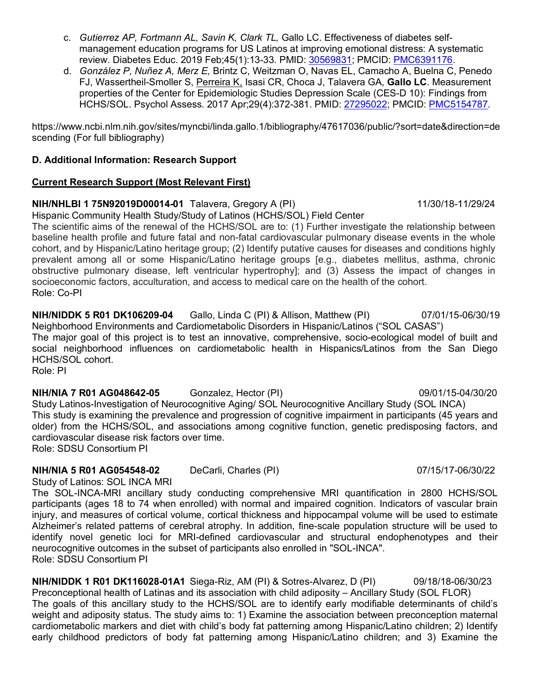- c. *Gutierrez AP, Fortmann AL, Savin K, Clark TL,* Gallo LC. Effectiveness of diabetes selfmanagement education programs for US Latinos at improving emotional distress: A systematic review. Diabetes Educ. 2019 Feb;45(1):13-33. PMID: 30569831; PMCID: PMC6391176.
- d. *González P, Nuñez A, Merz E,* Brintz C, Weitzman O, Navas EL, Camacho A, Buelna C, Penedo FJ, Wassertheil-Smoller S, Perreira K, Isasi CR, Choca J, Talavera GA, **Gallo LC**. Measurement properties of the Center for Epidemiologic Studies Depression Scale (CES-D 10): Findings from HCHS/SOL. Psychol Assess. 2017 Apr;29(4):372-381. PMID: 27295022; PMCID: PMC5154787.

https://www.ncbi.nlm.nih.gov/sites/myncbi/linda.gallo.1/bibliography/47617036/public/?sort=date&direction=de scending (For full bibliography)

## **D. Additional Information: Research Support**

## **Current Research Support (Most Relevant First)**

# **NIH/NHLBI 1 75N92019D00014-01** Talavera, Gregory A (PI) 11/30/18-11/29/24

Hispanic Community Health Study/Study of Latinos (HCHS/SOL) Field Center

The scientific aims of the renewal of the HCHS/SOL are to: (1) Further investigate the relationship between baseline health profile and future fatal and non-fatal cardiovascular pulmonary disease events in the whole cohort, and by Hispanic/Latino heritage group; (2) Identify putative causes for diseases and conditions highly prevalent among all or some Hispanic/Latino heritage groups [e.g., diabetes mellitus, asthma, chronic obstructive pulmonary disease, left ventricular hypertrophy]; and (3) Assess the impact of changes in socioeconomic factors, acculturation, and access to medical care on the health of the cohort. Role: Co-PI

**NIH/NIDDK 5 R01 DK106209-04** Gallo, Linda C (PI) & Allison, Matthew (PI) 07/01/15-06/30/19 Neighborhood Environments and Cardiometabolic Disorders in Hispanic/Latinos ("SOL CASAS") The major goal of this project is to test an innovative, comprehensive, socio-ecological model of built and social neighborhood influences on cardiometabolic health in Hispanics/Latinos from the San Diego HCHS/SOL cohort. Role: PI

# **NIH/NIA 7 R01 AG048642-05** Gonzalez, Hector (PI) 09/01/15-04/30/20

Study Latinos-Investigation of Neurocognitive Aging/ SOL Neurocognitive Ancillary Study (SOL INCA) This study is examining the prevalence and progression of cognitive impairment in participants (45 years and older) from the HCHS/SOL, and associations among cognitive function, genetic predisposing factors, and cardiovascular disease risk factors over time. Role: SDSU Consortium PI

# **NIH/NIA 5 R01 AG054548-02** DeCarli, Charles (PI) 07/15/17-06/30/22

Study of Latinos: SOL INCA MRI The SOL-INCA-MRI ancillary study conducting comprehensive MRI quantification in 2800 HCHS/SOL participants (ages 18 to 74 when enrolled) with normal and impaired cognition. Indicators of vascular brain injury, and measures of cortical volume, cortical thickness and hippocampal volume will be used to estimate Alzheimer's related patterns of cerebral atrophy. In addition, fine-scale population structure will be used to identify novel genetic loci for MRI-defined cardiovascular and structural endophenotypes and their neurocognitive outcomes in the subset of participants also enrolled in "SOL-INCA". Role: SDSU Consortium PI

**NIH/NIDDK 1 R01 DK116028-01A1** Siega-Riz, AM (PI) & Sotres-Alvarez, D (PI) 09/18/18-06/30/23 Preconceptional health of Latinas and its association with child adiposity – Ancillary Study (SOL FLOR) The goals of this ancillary study to the HCHS/SOL are to identify early modifiable determinants of child's weight and adiposity status. The study aims to: 1) Examine the association between preconception maternal cardiometabolic markers and diet with child's body fat patterning among Hispanic/Latino children; 2) Identify early childhood predictors of body fat patterning among Hispanic/Latino children; and 3) Examine the